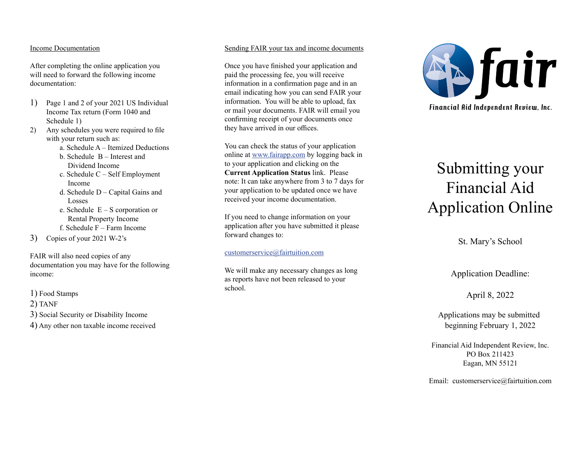## Income Documentation

After completing the online application you will need to forward the following income documentation:

- 1) Page 1 and 2 of your 2021 US Individual Income Tax return (Form 1040 and Schedule 1)
- 2) Any schedules you were required to file with your return such as:
	- a. Schedule A Itemized Deductions
	- b. Schedule B Interest and Dividend Income
	- c. Schedule C Self Employment Income
	- d. Schedule D Capital Gains and Losses
	- e. Schedule E S corporation or Rental Property Income
	- f. Schedule F Farm Income

3) Copies of your 2021 W-2's

FAIR will also need copies of any documentation you may have for the following income:

- 1) Food Stamps
- 2) TANF
- 3) Social Security or Disability Income
- 4) Any other non taxable income received

# Sending FAIR your tax and income documents

Once you have finished your application and paid the processing fee, you will receive information in a confirmation page and in an email indicating how you can send FAIR your information. You will be able to upload, fax or mail your documents. FAIR will email you confirming receipt of your documents once they have arrived in our offices.

You can check the status of your application online at www.fairapp.com by logging back in to your application and clicking on the **Current Application Status** link. Please note: It can take anywhere from 3 to 7 days for your application to be updated once we have received your income documentation.

If you need to change information on your application after you have submitted it please forward changes to:

## customerservice@fairtuition.com

We will make any necessary changes as long as reports have not been released to your school.



# Submitting your Financial Aid Application Online

St. Mary's School

Application Deadline:

April 8, 2022

 Applications may be submitted beginning February 1, 2022

Financial Aid Independent Review, Inc. PO Box 211423 Eagan, MN 55121

Email: customerservice@fairtuition.com